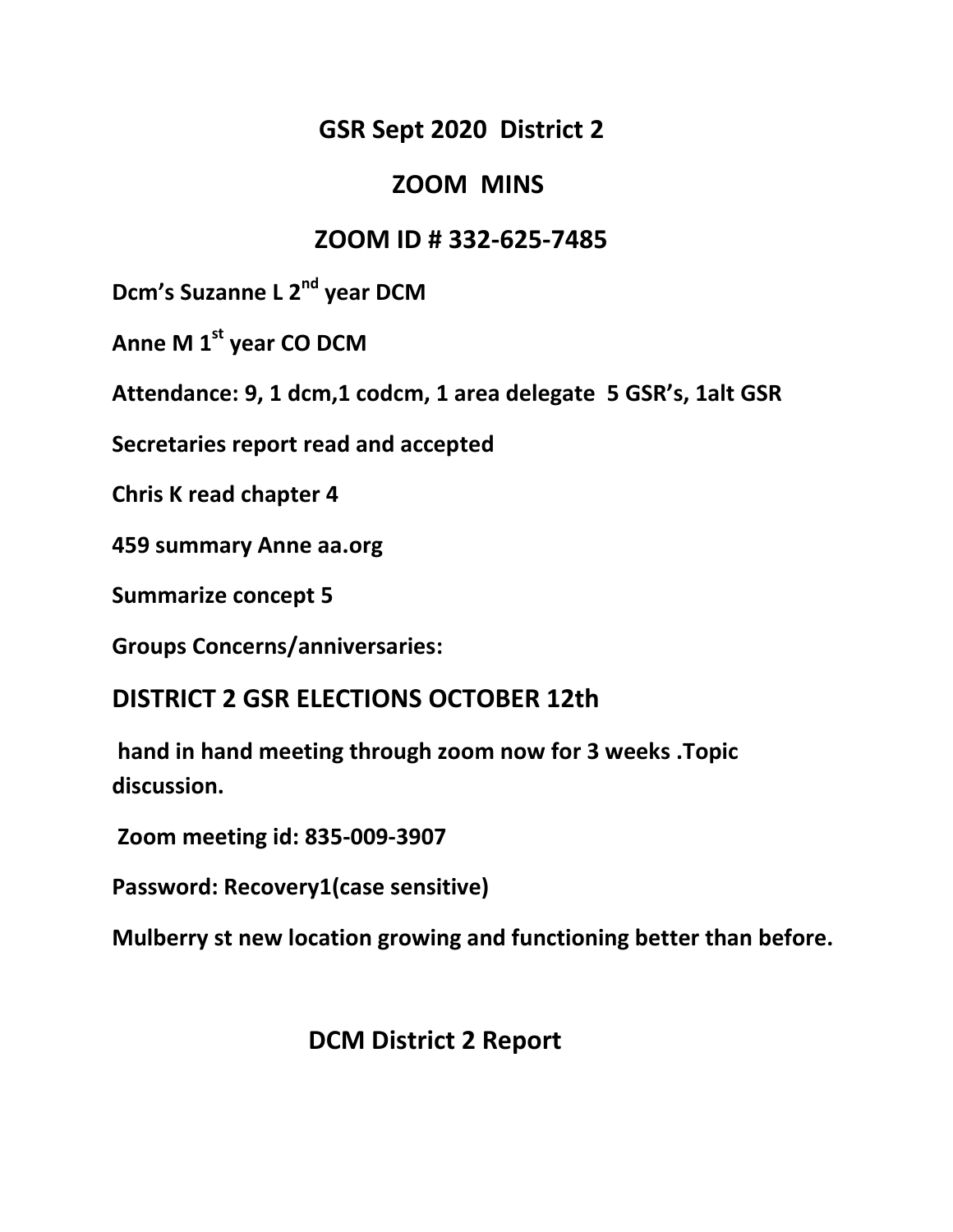### **GSR Sept 2020 District 2**

#### **ZOOM MINS**

## **ZOOM ID # 332-625-7485**

**Dcm's Suzanne L 2nd year DCM**

**Anne M 1st year CO DCM**

**Attendance: 9, 1 dcm,1 codcm, 1 area delegate 5 GSR's, 1alt GSR**

**Secretaries report read and accepted**

**Chris K read chapter 4**

**459 summary Anne aa.org**

**Summarize concept 5**

**Groups Concerns/anniversaries:**

#### **DISTRICT 2 GSR ELECTIONS OCTOBER 12th**

**hand in hand meeting through zoom now for 3 weeks .Topic discussion.**

**Zoom meeting id: 835-009-3907**

**Password: Recovery1(case sensitive)**

**Mulberry st new location growing and functioning better than before.**

#### **DCM District 2 Report**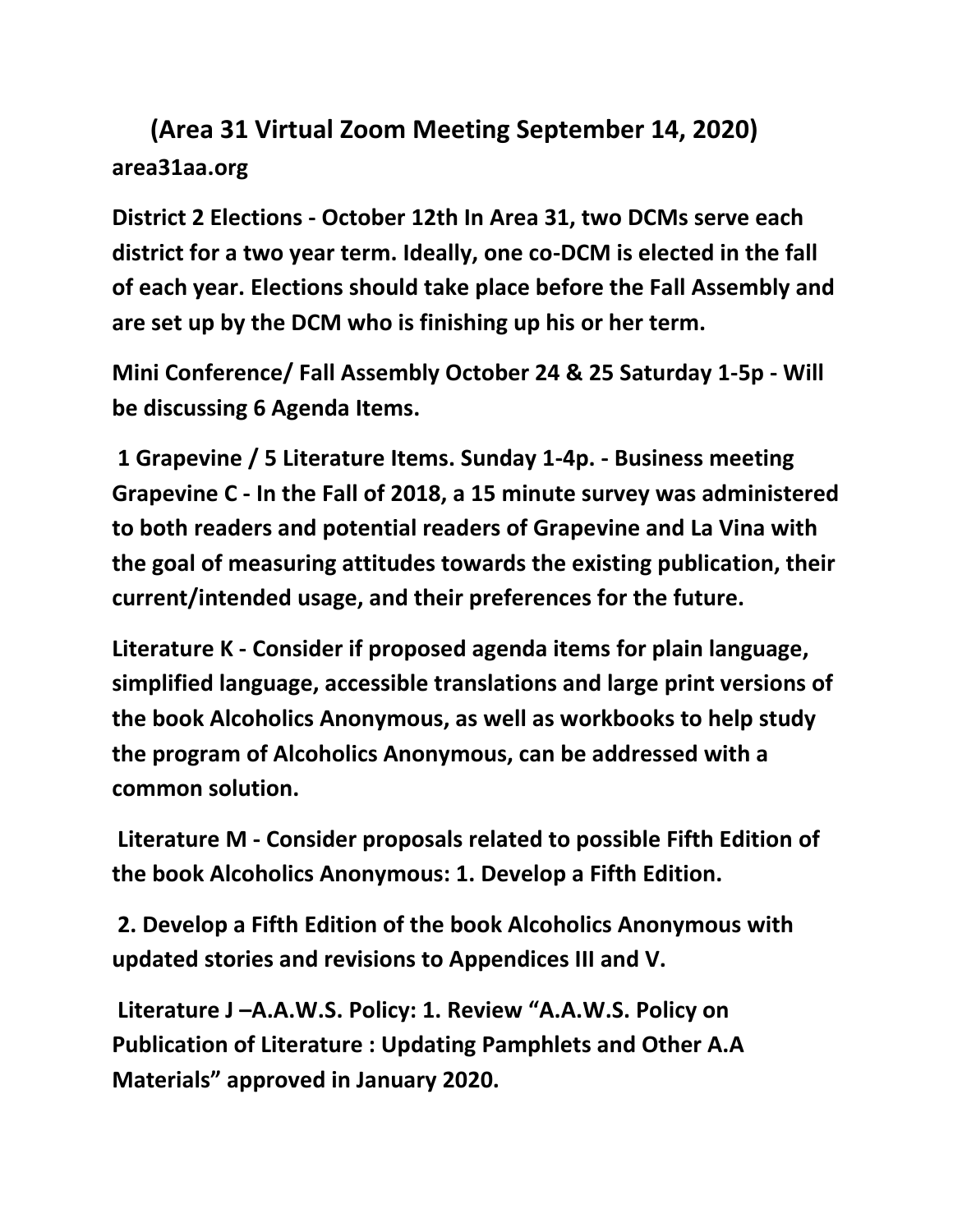# **(Area 31 Virtual Zoom Meeting September 14, 2020) area31aa.org**

**District 2 Elections - October 12th In Area 31, two DCMs serve each district for a two year term. Ideally, one co-DCM is elected in the fall of each year. Elections should take place before the Fall Assembly and are set up by the DCM who is finishing up his or her term.** 

**Mini Conference/ Fall Assembly October 24 & 25 Saturday 1-5p - Will be discussing 6 Agenda Items.**

**1 Grapevine / 5 Literature Items. Sunday 1-4p. - Business meeting Grapevine C - In the Fall of 2018, a 15 minute survey was administered to both readers and potential readers of Grapevine and La Vina with the goal of measuring attitudes towards the existing publication, their current/intended usage, and their preferences for the future.** 

**Literature K - Consider if proposed agenda items for plain language, simplified language, accessible translations and large print versions of the book Alcoholics Anonymous, as well as workbooks to help study the program of Alcoholics Anonymous, can be addressed with a common solution.**

**Literature M - Consider proposals related to possible Fifth Edition of the book Alcoholics Anonymous: 1. Develop a Fifth Edition.**

**2. Develop a Fifth Edition of the book Alcoholics Anonymous with updated stories and revisions to Appendices III and V.**

**Literature J –A.A.W.S. Policy: 1. Review "A.A.W.S. Policy on Publication of Literature : Updating Pamphlets and Other A.A Materials" approved in January 2020.**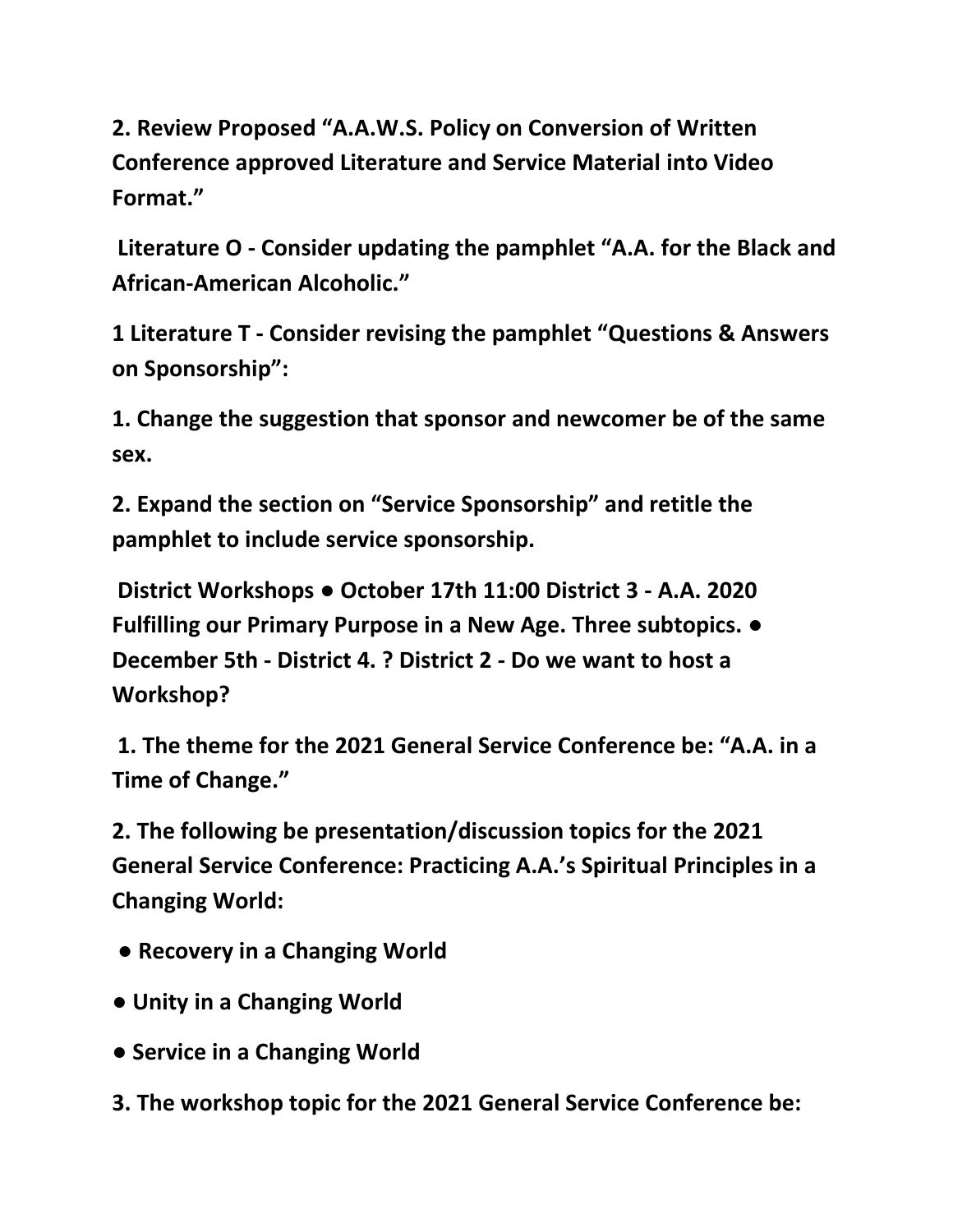**2. Review Proposed "A.A.W.S. Policy on Conversion of Written Conference approved Literature and Service Material into Video Format."**

**Literature O - Consider updating the pamphlet "A.A. for the Black and African-American Alcoholic."** 

**1 Literature T - Consider revising the pamphlet "Questions & Answers on Sponsorship":** 

**1. Change the suggestion that sponsor and newcomer be of the same sex.**

**2. Expand the section on "Service Sponsorship" and retitle the pamphlet to include service sponsorship.**

**District Workshops ● October 17th 11:00 District 3 - A.A. 2020 Fulfilling our Primary Purpose in a New Age. Three subtopics. ● December 5th - District 4. ? District 2 - Do we want to host a Workshop?**

**1. The theme for the 2021 General Service Conference be: "A.A. in a Time of Change."** 

**2. The following be presentation/discussion topics for the 2021 General Service Conference: Practicing A.A.'s Spiritual Principles in a Changing World:**

- **Recovery in a Changing World**
- **Unity in a Changing World**
- **Service in a Changing World**
- **3. The workshop topic for the 2021 General Service Conference be:**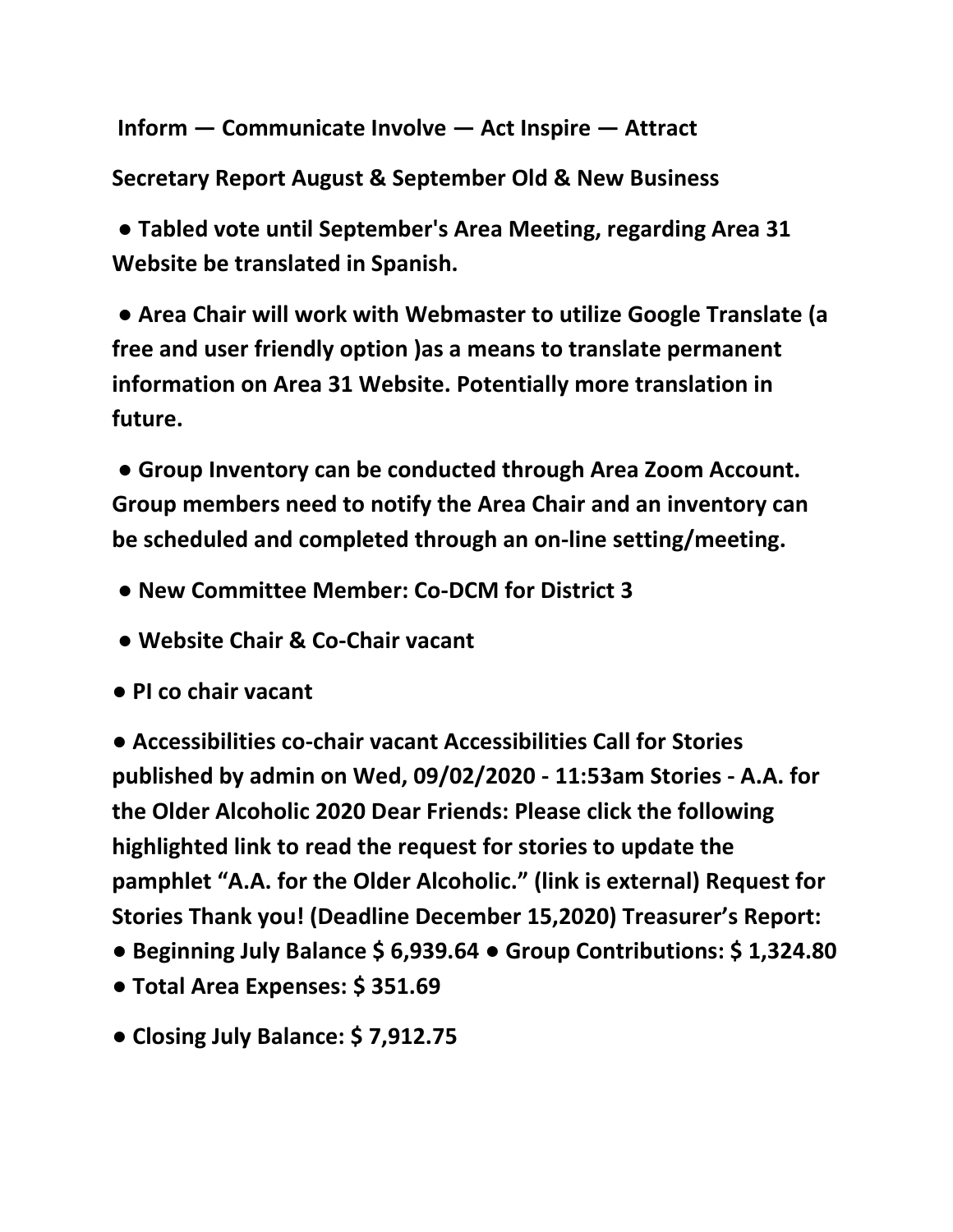**Inform — Communicate Involve — Act Inspire — Attract** 

**Secretary Report August & September Old & New Business**

**● Tabled vote until September's Area Meeting, regarding Area 31 Website be translated in Spanish.**

**● Area Chair will work with Webmaster to utilize Google Translate (a free and user friendly option )as a means to translate permanent information on Area 31 Website. Potentially more translation in future.**

**● Group Inventory can be conducted through Area Zoom Account. Group members need to notify the Area Chair and an inventory can be scheduled and completed through an on-line setting/meeting.**

- **New Committee Member: Co-DCM for District 3**
- **Website Chair & Co-Chair vacant**
- **PI co chair vacant**

**● Accessibilities co-chair vacant Accessibilities Call for Stories published by admin on Wed, 09/02/2020 - 11:53am Stories - A.A. for the Older Alcoholic 2020 Dear Friends: Please click the following highlighted link to read the request for stories to update the pamphlet "A.A. for the Older Alcoholic." (link is external) Request for Stories Thank you! (Deadline December 15,2020) Treasurer's Report:** 

- **Beginning July Balance \$ 6,939.64 Group Contributions: \$ 1,324.80**
- **Total Area Expenses: \$ 351.69**
- **Closing July Balance: \$ 7,912.75**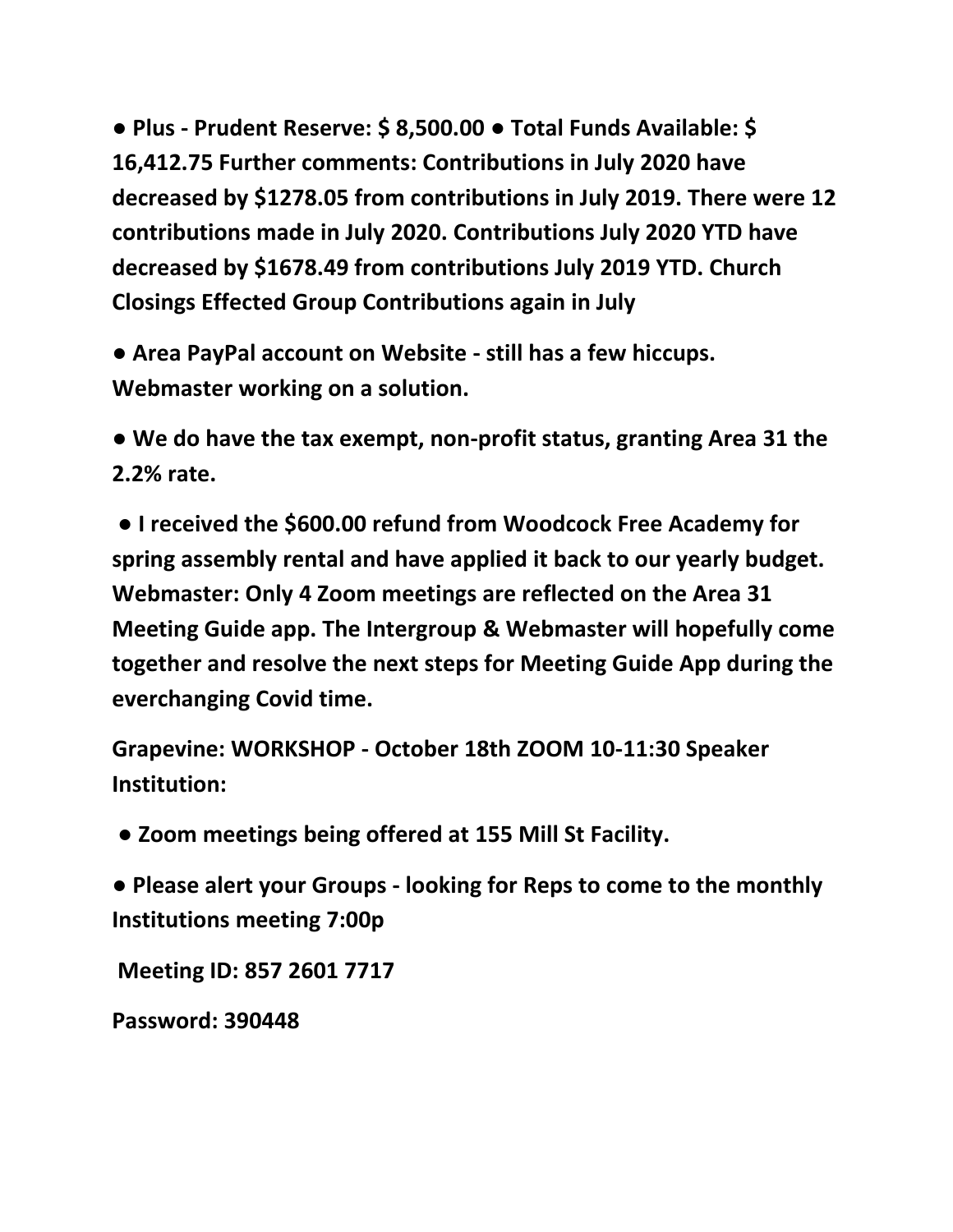**● Plus - Prudent Reserve: \$ 8,500.00 ● Total Funds Available: \$ 16,412.75 Further comments: Contributions in July 2020 have decreased by \$1278.05 from contributions in July 2019. There were 12 contributions made in July 2020. Contributions July 2020 YTD have decreased by \$1678.49 from contributions July 2019 YTD. Church Closings Effected Group Contributions again in July**

**● Area PayPal account on Website - still has a few hiccups. Webmaster working on a solution.** 

**● We do have the tax exempt, non-profit status, granting Area 31 the 2.2% rate.**

**● I received the \$600.00 refund from Woodcock Free Academy for spring assembly rental and have applied it back to our yearly budget. Webmaster: Only 4 Zoom meetings are reflected on the Area 31 Meeting Guide app. The Intergroup & Webmaster will hopefully come together and resolve the next steps for Meeting Guide App during the everchanging Covid time.** 

**Grapevine: WORKSHOP - October 18th ZOOM 10-11:30 Speaker Institution:**

**● Zoom meetings being offered at 155 Mill St Facility.** 

**● Please alert your Groups - looking for Reps to come to the monthly Institutions meeting 7:00p**

**Meeting ID: 857 2601 7717**

**Password: 390448**